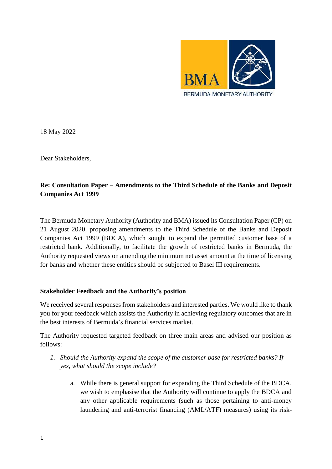

18 May 2022

Dear Stakeholders,

## **Re: Consultation Paper – Amendments to the Third Schedule of the Banks and Deposit Companies Act 1999**

The Bermuda Monetary Authority (Authority and BMA) issued its Consultation Paper (CP) on 21 August 2020, proposing amendments to the Third Schedule of the Banks and Deposit Companies Act 1999 (BDCA), which sought to expand the permitted customer base of a restricted bank. Additionally, to facilitate the growth of restricted banks in Bermuda, the Authority requested views on amending the minimum net asset amount at the time of licensing for banks and whether these entities should be subjected to Basel III requirements.

## **Stakeholder Feedback and the Authority's position**

We received several responses from stakeholders and interested parties. We would like to thank you for your feedback which assists the Authority in achieving regulatory outcomes that are in the best interests of Bermuda's financial services market.

The Authority requested targeted feedback on three main areas and advised our position as follows:

- *1. Should the Authority expand the scope of the customer base for restricted banks? If yes, what should the scope include?* 
	- a. While there is general support for expanding the Third Schedule of the BDCA, we wish to emphasise that the Authority will continue to apply the BDCA and any other applicable requirements (such as those pertaining to anti-money laundering and anti-terrorist financing (AML/ATF) measures) using its risk-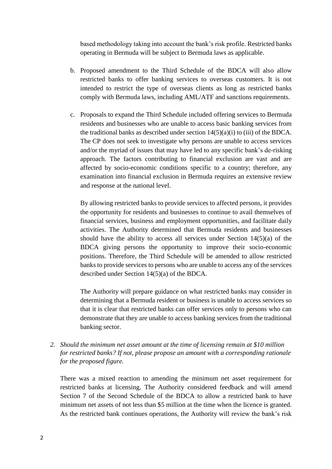based methodology taking into account the bank's risk profile. Restricted banks operating in Bermuda will be subject to Bermuda laws as applicable.

- b. Proposed amendment to the Third Schedule of the BDCA will also allow restricted banks to offer banking services to overseas customers. It is not intended to restrict the type of overseas clients as long as restricted banks comply with Bermuda laws, including AML/ATF and sanctions requirements.
- c. Proposals to expand the Third Schedule included offering services to Bermuda residents and businesses who are unable to access basic banking services from the traditional banks as described under section  $14(5)(a)(i)$  to (iii) of the BDCA. The CP does not seek to investigate why persons are unable to access services and/or the myriad of issues that may have led to any specific bank's de-risking approach. The factors contributing to financial exclusion are vast and are affected by socio-economic conditions specific to a country; therefore, any examination into financial exclusion in Bermuda requires an extensive review and response at the national level.

By allowing restricted banks to provide services to affected persons, it provides the opportunity for residents and businesses to continue to avail themselves of financial services, business and employment opportunities, and facilitate daily activities. The Authority determined that Bermuda residents and businesses should have the ability to access all services under Section  $14(5)(a)$  of the BDCA giving persons the opportunity to improve their socio-economic positions. Therefore, the Third Schedule will be amended to allow restricted banks to provide services to persons who are unable to access any of the services described under Section 14(5)(a) of the BDCA.

The Authority will prepare guidance on what restricted banks may consider in determining that a Bermuda resident or business is unable to access services so that it is clear that restricted banks can offer services only to persons who can demonstrate that they are unable to access banking services from the traditional banking sector.

*2. Should the minimum net asset amount at the time of licensing remain at \$10 million for restricted banks? If not, please propose an amount with a corresponding rationale for the proposed figure.*

There was a mixed reaction to amending the minimum net asset requirement for restricted banks at licensing. The Authority considered feedback and will amend Section 7 of the Second Schedule of the BDCA to allow a restricted bank to have minimum net assets of not less than \$5 million at the time when the licence is granted. As the restricted bank continues operations, the Authority will review the bank's risk